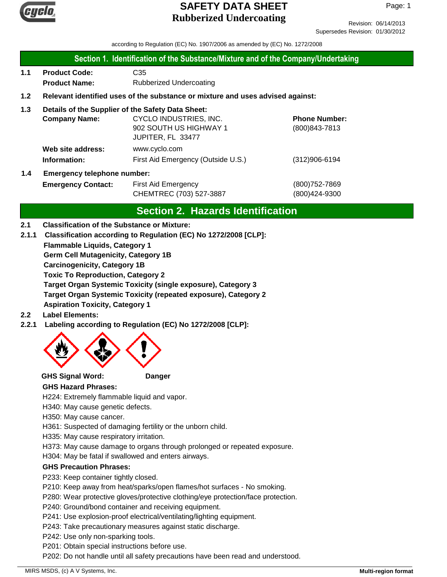

Revision: 06/14/2013 Supersedes Revision: 01/30/2012

according to Regulation (EC) No. 1907/2006 as amended by (EC) No. 1272/2008

### **Section 1. Identification of the Substance/Mixture and of the Company/Undertaking**

**1.1 Product Code:** C35 **Product Name:** Rubberized Undercoating

### **1.2 Relevant identified uses of the substance or mixture and uses advised against:**

### **1.3 Details of the Supplier of the Safety Data Sheet:**

| <b>Company Name:</b>       | CYCLO INDUSTRIES, INC.             | <b>Phone Number:</b> |
|----------------------------|------------------------------------|----------------------|
|                            | 902 SOUTH US HIGHWAY 1             | (800) 843-7813       |
|                            | JUPITER, FL 33477                  |                      |
| Web site address:          | www.cyclo.com                      |                      |
| Information:               | First Aid Emergency (Outside U.S.) | $(312)906 - 6194$    |
| Emergency telephone number |                                    |                      |

# **1.4 Emergency telephone number:**

**Emergency Contact:** First Aid Emergency **Emergency** (800)752-7869 CHEMTREC (703) 527-3887 (800)424-9300

# **Section 2. Hazards Identification**

### **2.1 Classification of the Substance or Mixture:**

**2.1.1 Classification according to Regulation (EC) No 1272/2008 [CLP]:**

**Flammable Liquids, Category 1**

**Germ Cell Mutagenicity, Category 1B**

**Carcinogenicity, Category 1B**

**Toxic To Reproduction, Category 2**

**Target Organ Systemic Toxicity (single exposure), Category 3**

**Target Organ Systemic Toxicity (repeated exposure), Category 2**

**Aspiration Toxicity, Category 1**

### **2.2 Label Elements:**

**2.2.1 Labeling according to Regulation (EC) No 1272/2008 [CLP]:**



### **GHS Signal Word: Danger**

### **GHS Hazard Phrases:**

H224: Extremely flammable liquid and vapor.

- H340: May cause genetic defects.
- H350: May cause cancer.

H361: Suspected of damaging fertility or the unborn child.

H335: May cause respiratory irritation.

H373: May cause damage to organs through prolonged or repeated exposure.

H304: May be fatal if swallowed and enters airways.

### **GHS Precaution Phrases:**

P233: Keep container tightly closed.

P210: Keep away from heat/sparks/open flames/hot surfaces - No smoking.

P280: Wear protective gloves/protective clothing/eye protection/face protection.

P240: Ground/bond container and receiving equipment.

P241: Use explosion-proof electrical/ventilating/lighting equipment.

P243: Take precautionary measures against static discharge.

P242: Use only non-sparking tools.

P201: Obtain special instructions before use.

P202: Do not handle until all safety precautions have been read and understood.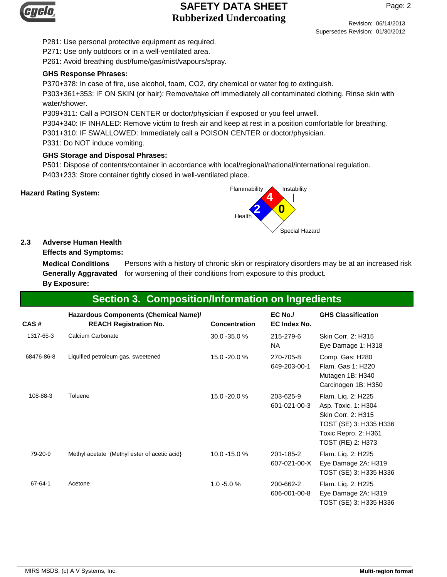

P281: Use personal protective equipment as required.

P271: Use only outdoors or in a well-ventilated area.

P261: Avoid breathing dust/fume/gas/mist/vapours/spray.

### **GHS Response Phrases:**

P370+378: In case of fire, use alcohol, foam, CO2, dry chemical or water fog to extinguish.

P303+361+353: IF ON SKIN (or hair): Remove/take off immediately all contaminated clothing. Rinse skin with water/shower.

P309+311: Call a POISON CENTER or doctor/physician if exposed or you feel unwell.

P304+340: IF INHALED: Remove victim to fresh air and keep at rest in a position comfortable for breathing. P301+310: IF SWALLOWED: Immediately call a POISON CENTER or doctor/physician.

P331: Do NOT induce vomiting.

# **GHS Storage and Disposal Phrases:**

P501: Dispose of contents/container in accordance with local/regional/national/international regulation. P403+233: Store container tightly closed in well-ventilated place.



### **2.3 Adverse Human Health**

**Effects and Symptoms:**

Persons with a history of chronic skin or respiratory disorders may be at an increased risk Generally Aggravated for worsening of their conditions from exposure to this product. **Medical Conditions By Exposure:**

# **Section 3. Composition/Information on Ingredients**

| CAS#       | Hazardous Components (Chemical Name)/<br><b>REACH Registration No.</b> | <b>Concentration</b> | EC No./<br>EC Index No.   | <b>GHS Classification</b>                                                                                                              |
|------------|------------------------------------------------------------------------|----------------------|---------------------------|----------------------------------------------------------------------------------------------------------------------------------------|
| 1317-65-3  | Calcium Carbonate                                                      | 30.0 - 35.0 %        | 215-279-6<br>NA           | Skin Corr. 2: H315<br>Eye Damage 1: H318                                                                                               |
| 68476-86-8 | Liquified petroleum gas, sweetened                                     | 15.0 -20.0 %         | 270-705-8<br>649-203-00-1 | Comp. Gas: H280<br>Flam, Gas 1: H220<br>Mutagen 1B: H340<br>Carcinogen 1B: H350                                                        |
| 108-88-3   | Toluene                                                                | 15.0 -20.0 %         | 203-625-9<br>601-021-00-3 | Flam. Liq. 2: H225<br>Asp. Toxic. 1: H304<br>Skin Corr. 2: H315<br>TOST (SE) 3: H335 H336<br>Toxic Repro. 2: H361<br>TOST (RE) 2: H373 |
| 79-20-9    | Methyl acetate (Methyl ester of acetic acid)                           | 10.0 -15.0 %         | 201-185-2<br>607-021-00-X | Flam. Liq. 2: H225<br>Eye Damage 2A: H319<br>TOST (SE) 3: H335 H336                                                                    |
| 67-64-1    | Acetone                                                                | $1.0 - 5.0 %$        | 200-662-2<br>606-001-00-8 | Flam. Liq. 2: H225<br>Eye Damage 2A: H319<br>TOST (SE) 3: H335 H336                                                                    |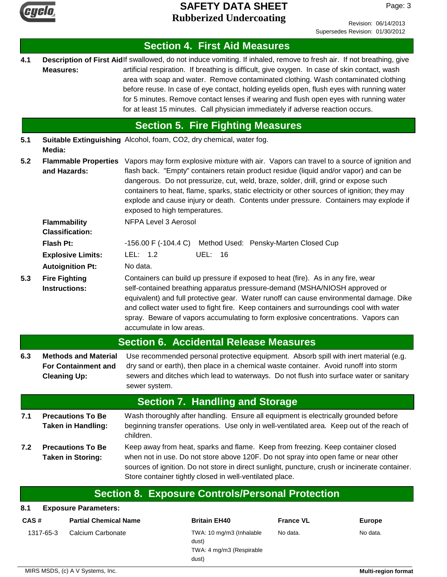

Page: 3

### **Section 4. First Aid Measures** Description of First Aidlf swallowed, do not induce vomiting. If inhaled, remove to fresh air. If not breathing, give artificial respiration. If breathing is difficult, give oxygen. In case of skin contact, wash area with soap and water. Remove contaminated clothing. Wash contaminated clothing before reuse. In case of eye contact, holding eyelids open, flush eyes with running water for 5 minutes. Remove contact lenses if wearing and flush open eyes with running water for at least 15 minutes. Call physician immediately if adverse reaction occurs. **Measures: 4.1 5.1 5.2 Section 5. Fire Fighting Measures** Flash Pt: -  $-156.00 F (-104.4 C)$  Method Used: Pensky-Marten Closed Cup Containers can build up pressure if exposed to heat (fire). As in any fire, wear self-contained breathing apparatus pressure-demand (MSHA/NIOSH approved or equivalent) and full protective gear. Water runoff can cause environmental damage. Dike and collect water used to fight fire. Keep containers and surroundings cool with water spray. Beware of vapors accumulating to form explosive concentrations. Vapors can accumulate in low areas. **Fire Fighting Instructions: Autoignition Pt:** No data. **Explosive Limits:** LEL: 1.2 UEL: 16 **Flammability Classification:** NFPA Level 3 Aerosol **Suitable Extinguishing** Alcohol, foam, CO2, dry chemical, water fog. **Media:** Vapors may form explosive mixture with air. Vapors can travel to a source of ignition and flash back. "Empty" containers retain product residue (liquid and/or vapor) and can be dangerous. Do not pressurize, cut, weld, braze, solder, drill, grind or expose such containers to heat, flame, sparks, static electricity or other sources of ignition; they may explode and cause injury or death. Contents under pressure. Containers may explode if exposed to high temperatures. **Flammable Properties and Hazards: 5.3 6.3 Section 6. Accidental Release Measures** Use recommended personal protective equipment. Absorb spill with inert material (e.g. dry sand or earth), then place in a chemical waste container. Avoid runoff into storm sewers and ditches which lead to waterways. Do not flush into surface water or sanitary sewer system. **Methods and Material For Containment and Cleaning Up: 7.1 7.2 Section 7. Handling and Storage** Wash thoroughly after handling. Ensure all equipment is electrically grounded before beginning transfer operations. Use only in well-ventilated area. Keep out of the reach of children. **Precautions To Be Taken in Handling:** Keep away from heat, sparks and flame. Keep from freezing. Keep container closed when not in use. Do not store above 120F. Do not spray into open fame or near other sources of ignition. Do not store in direct sunlight, puncture, crush or incinerate container. Store container tightly closed in well-ventilated place. **Precautions To Be Taken in Storing: Section 8. Exposure Controls/Personal Protection 8.1 Exposure Parameters:**

| CAS#      | <b>Partial Chemical Name</b> | <b>Britain EH40</b>                                                    | <b>France VL</b> | <b>Europe</b> |
|-----------|------------------------------|------------------------------------------------------------------------|------------------|---------------|
| 1317-65-3 | Calcium Carbonate            | TWA: 10 mg/m3 (Inhalable<br>dust)<br>TWA: 4 mg/m3 (Respirable<br>dust) | No data.         | No data.      |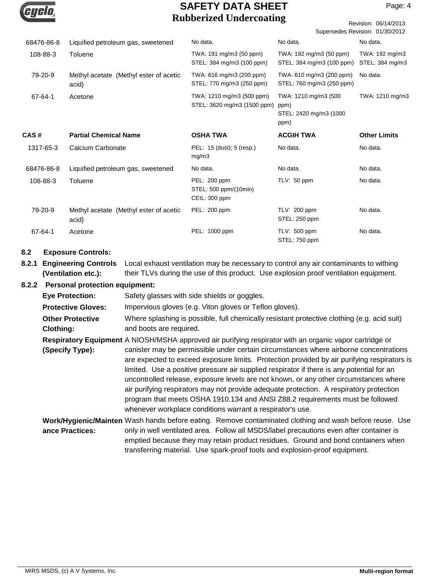

Page: 4

|            | Rubber izcu Unuci coating<br>Revision: 06/14/2013<br>Supersedes Revision: 01/30/2012 |                                                          |                                                                |                                   |  |
|------------|--------------------------------------------------------------------------------------|----------------------------------------------------------|----------------------------------------------------------------|-----------------------------------|--|
| 68476-86-8 | Liquified petroleum gas, sweetened                                                   | No data.                                                 | No data.                                                       | No data.                          |  |
| 108-88-3   | Toluene                                                                              | TWA: 191 mg/m3 (50 ppm)<br>STEL: 384 mg/m3 (100 ppm)     | TWA: 192 mg/m3 (50 ppm)<br>STEL: 384 mg/m3 (100 ppm)           | TWA: 192 mg/m3<br>STEL: 384 mg/m3 |  |
| 79-20-9    | Methyl acetate (Methyl ester of acetic<br>acid                                       | TWA: 616 mg/m3 (200 ppm)<br>STEL: 770 mg/m3 (250 ppm)    | TWA: 610 mg/m3 (200 ppm)<br>STEL: 760 mg/m3 (250 ppm)          | No data.                          |  |
| 67-64-1    | Acetone                                                                              | TWA: 1210 mg/m3 (500 ppm)<br>STEL: 3620 mg/m3 (1500 ppm) | TWA: 1210 mg/m3 (500<br>ppm)<br>STEL: 2420 mg/m3 (1000<br>ppm) | TWA: 1210 mg/m3                   |  |
| CAS#       | <b>Partial Chemical Name</b>                                                         | <b>OSHA TWA</b>                                          | <b>ACGIH TWA</b>                                               | <b>Other Limits</b>               |  |
| 1317-65-3  | Calcium Carbonate                                                                    | PEL: 15 (dust); 5 (resp.)<br>mg/m3                       | No data.                                                       | No data.                          |  |
| 68476-86-8 | Liquified petroleum gas, sweetened                                                   | No data.                                                 | No data.                                                       | No data.                          |  |
| 108-88-3   | Toluene                                                                              | PEL: 200 ppm<br>STEL: 500 ppm/(10min)<br>CEIL: 300 ppm   | TLV: $50$ ppm                                                  | No data.                          |  |
| 79-20-9    | Methyl acetate (Methyl ester of acetic<br>acid                                       | PEL: 200 ppm                                             | TLV: 200 ppm<br>STEL: 250 ppm                                  | No data.                          |  |
| 67-64-1    | Acetone                                                                              | PEL: 1000 ppm                                            | TLV: 500 ppm<br>STEL: 750 ppm                                  | No data.                          |  |

### **8.2 Exposure Controls:**

**8.2.1 Engineering Controls** Local exhaust ventilation may be necessary to control any air contaminants to withing their TLVs during the use of this product. Use explosion proof ventilation equipment. **(Ventilation etc.):**

### **8.2.2 Personal protection equipment:**

| <b>Eye Protection:</b>                      | Safety glasses with side shields or goggles.                                                                                                                                                                                                                                                                                                                                                                                                                                                                                                                                                                        |
|---------------------------------------------|---------------------------------------------------------------------------------------------------------------------------------------------------------------------------------------------------------------------------------------------------------------------------------------------------------------------------------------------------------------------------------------------------------------------------------------------------------------------------------------------------------------------------------------------------------------------------------------------------------------------|
| <b>Protective Gloves:</b>                   | Impervious gloves (e.g. Viton gloves or Teflon gloves).                                                                                                                                                                                                                                                                                                                                                                                                                                                                                                                                                             |
| <b>Other Protective</b><br><b>Clothing:</b> | Where splashing is possible, full chemically resistant protective clothing (e.g. acid suit)<br>and boots are required.                                                                                                                                                                                                                                                                                                                                                                                                                                                                                              |
|                                             | Respiratory Equipment A NIOSH/MSHA approved air purifying respirator with an organic vapor cartridge or                                                                                                                                                                                                                                                                                                                                                                                                                                                                                                             |
| (Specify Type):                             | canister may be permissible under certain circumstances where airborne concentrations<br>are expected to exceed exposure limits. Protection provided by air purifying respirators is<br>limited. Use a positive pressure air supplied respirator if there is any potential for an<br>uncontrolled release, exposure levels are not known, or any other circumstances where<br>air purifying respirators may not provide adequate protection. A respiratory protection<br>program that meets OSHA 1910.134 and ANSI Z88.2 requirements must be followed<br>whenever workplace conditions warrant a respirator's use. |
| ance Practices:                             | Work/Hygienic/Mainten Wash hands before eating. Remove contaminated clothing and wash before reuse. Use<br>only in well ventilated area. Follow all MSDS/label precautions even after container is<br>emptied because they may retain product residues. Ground and bond containers when<br>transferring material. Use spark-proof tools and explosion-proof equipment.                                                                                                                                                                                                                                              |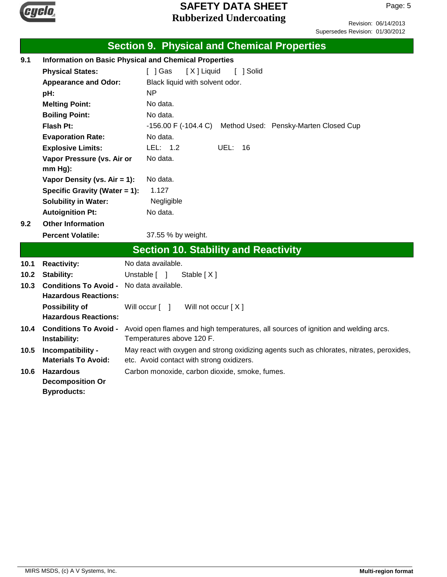

Revision: 06/14/2013 Supersedes Revision: 01/30/2012

|      | <b>Section 9. Physical and Chemical Properties</b> |                                                                                                                        |  |  |  |  |
|------|----------------------------------------------------|------------------------------------------------------------------------------------------------------------------------|--|--|--|--|
| 9.1  |                                                    | <b>Information on Basic Physical and Chemical Properties</b>                                                           |  |  |  |  |
|      | <b>Physical States:</b>                            | [ ] Gas<br>[X] Liquid<br>[ ] Solid                                                                                     |  |  |  |  |
|      | <b>Appearance and Odor:</b>                        | Black liquid with solvent odor.                                                                                        |  |  |  |  |
|      | pH:                                                | <b>NP</b>                                                                                                              |  |  |  |  |
|      | <b>Melting Point:</b>                              | No data.                                                                                                               |  |  |  |  |
|      | <b>Boiling Point:</b>                              | No data.                                                                                                               |  |  |  |  |
|      | Flash Pt:                                          | $-156.00$ F ( $-104.4$ C)<br>Method Used: Pensky-Marten Closed Cup                                                     |  |  |  |  |
|      | <b>Evaporation Rate:</b>                           | No data.                                                                                                               |  |  |  |  |
|      | <b>Explosive Limits:</b>                           | LEL: $1.2$<br>UEL:<br>16                                                                                               |  |  |  |  |
|      | Vapor Pressure (vs. Air or                         | No data.                                                                                                               |  |  |  |  |
|      | mm Hg):                                            |                                                                                                                        |  |  |  |  |
|      | Vapor Density (vs. $Air = 1$ ):                    | No data.                                                                                                               |  |  |  |  |
|      | Specific Gravity (Water = 1):                      | 1.127                                                                                                                  |  |  |  |  |
|      | <b>Solubility in Water:</b>                        | Negligible                                                                                                             |  |  |  |  |
|      | <b>Autoignition Pt:</b>                            | No data.                                                                                                               |  |  |  |  |
| 9.2  | <b>Other Information</b>                           |                                                                                                                        |  |  |  |  |
|      | <b>Percent Volatile:</b>                           | 37.55 % by weight.                                                                                                     |  |  |  |  |
|      |                                                    | <b>Section 10. Stability and Reactivity</b>                                                                            |  |  |  |  |
| 10.1 | <b>Reactivity:</b>                                 | No data available.                                                                                                     |  |  |  |  |
| 10.2 | <b>Stability:</b>                                  | Unstable [ ]<br>Stable $[X]$                                                                                           |  |  |  |  |
| 10.3 | <b>Conditions To Avoid -</b>                       | No data available.                                                                                                     |  |  |  |  |
|      | <b>Hazardous Reactions:</b>                        |                                                                                                                        |  |  |  |  |
|      | <b>Possibility of</b>                              | Will occur [ ]<br>Will not occur [X]                                                                                   |  |  |  |  |
|      | <b>Hazardous Reactions:</b>                        |                                                                                                                        |  |  |  |  |
| 10.4 |                                                    | Conditions To Avoid - Avoid open flames and high temperatures, all sources of ignition and welding arcs.               |  |  |  |  |
|      | Instability:                                       | Temperatures above 120 F.<br>May react with oxygen and strong oxidizing agents such as chlorates, nitrates, peroxides, |  |  |  |  |
| 10.5 | Incompatibility -<br><b>Materials To Avoid:</b>    | etc. Avoid contact with strong oxidizers.                                                                              |  |  |  |  |
| 10.6 | <b>Hazardous</b>                                   | Carbon monoxide, carbon dioxide, smoke, fumes.                                                                         |  |  |  |  |
|      | <b>Decomposition Or</b>                            |                                                                                                                        |  |  |  |  |
|      | <b>Byproducts:</b>                                 |                                                                                                                        |  |  |  |  |
|      |                                                    |                                                                                                                        |  |  |  |  |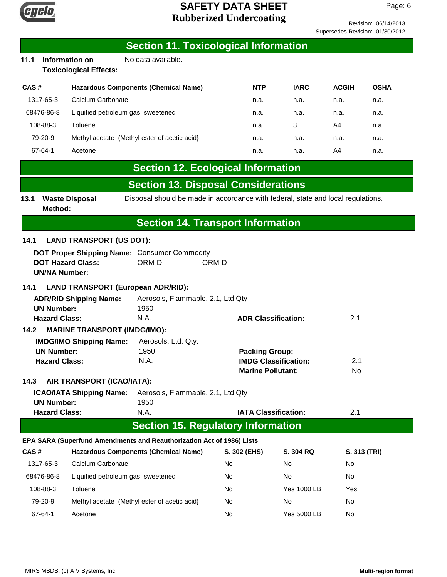

Revision: 06/14/2013 es Revision: 01/30/2012

|                                |            | <b>SAFETY DATA SHEET</b>                        |                                                                                  |            | P.          |                             |             |
|--------------------------------|------------|-------------------------------------------------|----------------------------------------------------------------------------------|------------|-------------|-----------------------------|-------------|
| <b>Rubberized Undercoating</b> |            |                                                 |                                                                                  |            |             | Revision: 06/14/            |             |
|                                |            |                                                 |                                                                                  |            |             | Supersedes Revision: 01/30/ |             |
|                                |            |                                                 | <b>Section 11. Toxicological Information</b>                                     |            |             |                             |             |
| 11.1                           |            | Information on<br><b>Toxicological Effects:</b> | No data available.                                                               |            |             |                             |             |
| CAS#                           |            |                                                 | <b>Hazardous Components (Chemical Name)</b>                                      | <b>NTP</b> | <b>IARC</b> | <b>ACGIH</b>                | <b>OSHA</b> |
|                                | 1317-65-3  | Calcium Carbonate                               |                                                                                  | n.a.       | n.a.        | n.a.                        | n.a.        |
|                                | 68476-86-8 |                                                 | Liquified petroleum gas, sweetened                                               | n.a.       | n.a.        | n.a.                        | n.a.        |
|                                | 108-88-3   | Toluene                                         |                                                                                  | n.a.       | 3           | A4                          | n.a.        |
|                                | 79-20-9    |                                                 | Methyl acetate (Methyl ester of acetic acid)                                     | n.a.       | n.a.        | n.a.                        | n.a.        |
| 67-64-1<br>Acetone             |            |                                                 |                                                                                  | n.a.       | n.a.        | A4                          | n.a.        |
|                                |            |                                                 | <b>Section 12. Ecological Information</b>                                        |            |             |                             |             |
|                                |            |                                                 | <b>Section 13. Disposal Considerations</b>                                       |            |             |                             |             |
| 13.1                           | Method:    | <b>Waste Disposal</b>                           | Disposal should be made in accordance with federal, state and local regulations. |            |             |                             |             |
|                                |            |                                                 | <b>Section 14. Transport Information</b>                                         |            |             |                             |             |
| 14.1                           |            | <b>LAND TRANSPORT (US DOT):</b>                 |                                                                                  |            |             |                             |             |

### **DOT Proper Shipping Name:** Consumer Commodity **14.1 LAND TR.**

| <b>DOT Proper Shipping Name:</b> Consumer Commodity |       |       |  |
|-----------------------------------------------------|-------|-------|--|
| <b>DOT Hazard Class:</b>                            | ORM-D | ORM-D |  |
| <b>UN/NA Number:</b>                                |       |       |  |

# **14.1 LAND TRANSPORT (European ADR/RID):**

| <b>ADR/RID Shipping Name:</b>               | Aerosols, Flammable, 2.1, Ltd Qty |                             |     |
|---------------------------------------------|-----------------------------------|-----------------------------|-----|
| <b>UN Number:</b>                           | 1950                              |                             |     |
| <b>Hazard Class:</b>                        | N.A.                              | <b>ADR Classification:</b>  | 2.1 |
| <b>MARINE TRANSPORT (IMDG/IMO):</b><br>14.2 |                                   |                             |     |
| <b>IMDG/IMO Shipping Name:</b>              | Aerosols, Ltd. Qty.               |                             |     |
| <b>UN Number:</b>                           | 1950                              | <b>Packing Group:</b>       |     |
| <b>Hazard Class:</b>                        | N.A.                              | <b>IMDG Classification:</b> | 2.1 |

# **14.3 AIR TRANSPORT (ICAO/IATA):**

| <b>ICAO/IATA Shipping Name:</b> | Aerosols, Flammable, 2.1, Ltd Qty |                             |     |
|---------------------------------|-----------------------------------|-----------------------------|-----|
| UN Number:                      | 1950                              |                             |     |
| <b>Hazard Class:</b>            | N.A.                              | <b>IATA Classification:</b> | 2.1 |

| N.A. | <b>IATA Classification:</b>               |
|------|-------------------------------------------|
|      | <b>Section 15. Regulatory Information</b> |

**Marine Pollutant:** No

# **EPA SARA (Superfund Amendments and Reauthorization Act of 1986) Lists**

| CAS#       | <b>Hazardous Components (Chemical Name)</b>  | S. 302 (EHS) | S. 304 RQ          | S. 313 (TRI) |
|------------|----------------------------------------------|--------------|--------------------|--------------|
| 1317-65-3  | Calcium Carbonate                            | No.          | No                 | No.          |
| 68476-86-8 | Liquified petroleum gas, sweetened           | No           | No                 | <b>No</b>    |
| 108-88-3   | Toluene                                      | No           | Yes 1000 LB        | Yes          |
| 79-20-9    | Methyl acetate (Methyl ester of acetic acid) | No           | No                 | No.          |
| 67-64-1    | Acetone                                      | No           | <b>Yes 5000 LB</b> | No.          |